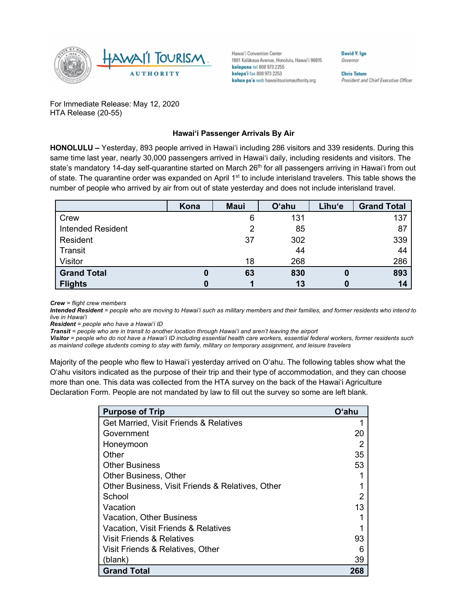

Hawai'i Convention Center 1801 Kalakaua Avenue, Honolulu, Hawai'i 96815 kelepona tel 808 973 2255 kelepa'i fax 808 973 2253 kahua pa'a web hawaiitourismauthority.org

Governor

David Y. Ige

**Chris Tatum** President and Chief Executive Officer

For Immediate Release: May 12, 2020 HTA Release (20-55)

## **Hawai'i Passenger Arrivals By Air**

**HONOLULU –** Yesterday, 893 people arrived in Hawai'i including 286 visitors and 339 residents. During this same time last year, nearly 30,000 passengers arrived in Hawai'i daily, including residents and visitors. The state's mandatory 14-day self-quarantine started on March 26<sup>th</sup> for all passengers arriving in Hawai'i from out of state. The quarantine order was expanded on April 1<sup>st</sup> to include interisland travelers. This table shows the number of people who arrived by air from out of state yesterday and does not include interisland travel.

|                          | Kona | <b>Maui</b> | <b>O'ahu</b> | Līhu'e | <b>Grand Total</b> |
|--------------------------|------|-------------|--------------|--------|--------------------|
| Crew                     |      | 6           | 131          |        | 137                |
| <b>Intended Resident</b> |      |             | 85           |        | 87                 |
| Resident                 |      | 37          | 302          |        | 339                |
| Transit                  |      |             | 44           |        | 44                 |
| Visitor                  |      | 18          | 268          |        | 286                |
| <b>Grand Total</b>       | 0    | 63          | 830          |        | 893                |
| <b>Flights</b>           | 0    |             | 13           |        | 14                 |

*Crew = flight crew members*

*Intended Resident = people who are moving to Hawai'i such as military members and their families, and former residents who intend to live in Hawai'i* 

*Resident = people who have a Hawai'i ID*

*Transit = people who are in transit to another location through Hawai'i and aren't leaving the airport*

*Visitor = people who do not have a Hawai'i ID including essential health care workers, essential federal workers, former residents such as mainland college students coming to stay with family, military on temporary assignment, and leisure travelers*

Majority of the people who flew to Hawai'i yesterday arrived on O'ahu. The following tables show what the O'ahu visitors indicated as the purpose of their trip and their type of accommodation, and they can choose more than one. This data was collected from the HTA survey on the back of the Hawai'i Agriculture Declaration Form. People are not mandated by law to fill out the survey so some are left blank.

| <b>Purpose of Trip</b>                           | Oʻahu |
|--------------------------------------------------|-------|
| Get Married, Visit Friends & Relatives           |       |
| Government                                       | 20    |
| Honeymoon                                        |       |
| Other                                            | 35    |
| <b>Other Business</b>                            | 53    |
| <b>Other Business, Other</b>                     |       |
| Other Business, Visit Friends & Relatives, Other |       |
| School                                           |       |
| Vacation                                         | 13    |
| <b>Vacation, Other Business</b>                  |       |
| Vacation, Visit Friends & Relatives              |       |
| Visit Friends & Relatives                        | 93    |
| Visit Friends & Relatives, Other                 |       |
| (blank)                                          | 39    |
| <b>Grand Total</b>                               | 268   |